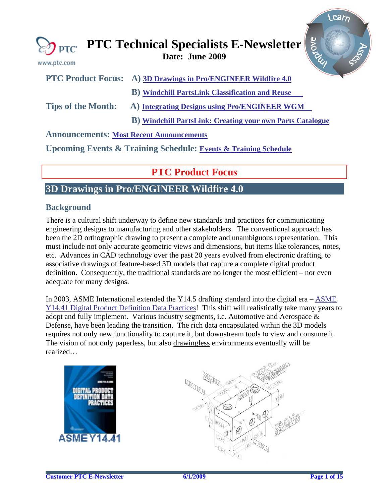<span id="page-0-0"></span>

| www.ptc.com | $\mathbb{Z}$ <sub>PTC</sub> PTC Technical Specialists E-Newsletter $\frac{2}{5}$<br>Date: June 2009 |  |
|-------------|-----------------------------------------------------------------------------------------------------|--|
|             | PTC Product Focus: A) 3D Drawings in Pro/ENGINEER Wildfire 4.0                                      |  |

**B) [Windchill PartsLink Classification and Reuse](#page-5-0)** 

**Tips of the Month: A) [Integrating Designs using Pro/ENGINEER WGM](#page-6-0)** 

 **B) [Windchill PartsLink: Creating your own Parts Catalogue](#page-10-0)** 

### **Announcements: [Most Recent Announcements](#page-11-0)**

**Upcoming Events & Training Schedule: [Events & Training Schedule](#page-13-0)**

# **PTC Product Focus**

# **3D Drawings in Pro/ENGINEER Wildfire 4.0**

## **Background**

There is a cultural shift underway to define new standards and practices for communicating engineering designs to manufacturing and other stakeholders. The conventional approach has been the 2D orthographic drawing to present a complete and unambiguous representation. This must include not only accurate geometric views and dimensions, but items like tolerances, notes, etc. Advances in CAD technology over the past 20 years evolved from electronic drafting, to associative drawings of feature-based 3D models that capture a complete digital product definition. Consequently, the traditional standards are no longer the most efficient – nor even adequate for many designs.

In 2003, ASME International extended the Y14.5 drafting standard into the digital era – [ASME](http://catalog.asme.org/Codes/PrintBook/Y1441_2003_Digital_Product.cfm)  [Y14.41 Digital Product Definition Data Practices!](http://catalog.asme.org/Codes/PrintBook/Y1441_2003_Digital_Product.cfm) This shift will realistically take many years to adopt and fully implement. Various industry segments, i.e. Automotive and Aerospace & Defense, have been leading the transition. The rich data encapsulated within the 3D models requires not only new functionality to capture it, but downstream tools to view and consume it. The vision of not only paperless, but also drawingless environments eventually will be realized…





Learn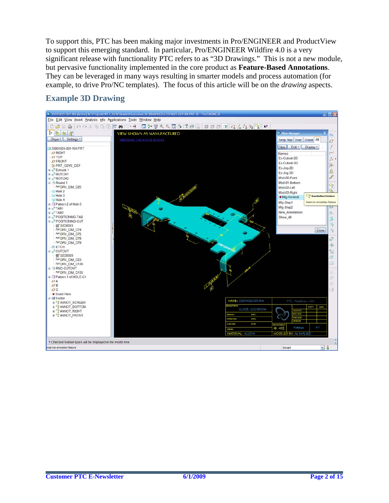To support this, PTC has been making major investments in Pro/ENGINEER and ProductView to support this emerging standard. In particular, Pro/ENGINEER Wildfire 4.0 is a very significant release with functionality PTC refers to as "3D Drawings." This is not a new module, but pervasive functionality implemented in the core product as **Feature-Based Annotations**. They can be leveraged in many ways resulting in smarter models and process automation (for example, to drive Pro/NC templates). The focus of this article will be on the *drawing* aspects.

# **Example 3D Drawing**

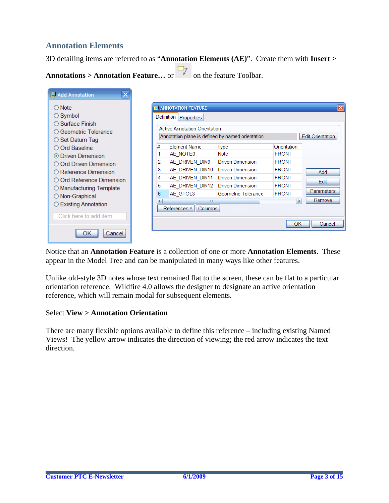# **Annotation Elements**

3D detailing items are referred to as "**Annotation Elements (AE)**". Create them with **Insert >** 

 $\Box$ 

| <b>Annotations &gt; Annotation Feature</b> or |  | • on the feature Toolbar. |
|-----------------------------------------------|--|---------------------------|
|-----------------------------------------------|--|---------------------------|

| Add Annotation             |   |                                                   |                         |              |                         |
|----------------------------|---|---------------------------------------------------|-------------------------|--------------|-------------------------|
| ○ Note                     |   | <b>III</b> ANNOTATION FEATURE                     |                         |              |                         |
| $\bigcirc$ Symbol          |   | Definition<br>Properties                          |                         |              |                         |
| $\bigcirc$ Surface Finish  |   | <b>Active Annotation Orientation</b>              |                         |              |                         |
| ○ Geometric Tolerance      |   |                                                   |                         |              |                         |
| $\bigcirc$ Set Datum Tag   |   | Annotation plane is defined by named orientation  |                         |              | <b>Edit Orientation</b> |
| O Ord Baseline             |   | <b>Element Name</b>                               | <b>Type</b>             | Orientation  |                         |
| ⊙ Driven Dimension         |   | AE_NOTE0                                          | Note                    | <b>FRONT</b> |                         |
| ○ Ord Driven Dimension     | 2 | AE DRIVEN DIM9                                    | <b>Driven Dimension</b> | <b>FRONT</b> |                         |
| ○ Reference Dimension      | 3 | AE DRIVEN DIM10                                   | <b>Driven Dimension</b> | <b>FRONT</b> | Add                     |
| ○ Ord Reference Dimension  | 4 | AE DRIVEN DIM11                                   | <b>Driven Dimension</b> | <b>FRONT</b> | Edit                    |
| ◯ Manufacturing Template   | 5 | AE DRIVEN DIM12                                   | <b>Driven Dimension</b> | <b>FRONT</b> |                         |
| ◯ Non-Graphical            | 6 | AE GTOL3                                          | Geometric Tolerance     | <b>FRONT</b> | Parameters              |
|                            | ≺ | Ш.                                                |                         |              | Remove<br>ь             |
| <b>Existing Annotation</b> |   | References $\blacktriangledown$<br><b>Columns</b> |                         |              |                         |
| Click here to add item     |   |                                                   |                         |              |                         |
|                            |   |                                                   |                         | ОК           | Cancel                  |
| Cancel                     |   |                                                   |                         |              |                         |

Notice that an **Annotation Feature** is a collection of one or more **Annotation Elements**. These appear in the Model Tree and can be manipulated in many ways like other features.

Unlike old-style 3D notes whose text remained flat to the screen, these can be flat to a particular orientation reference. Wildfire 4.0 allows the designer to designate an active orientation reference, which will remain modal for subsequent elements.

#### Select **View > Annotation Orientation**

There are many flexible options available to define this reference – including existing Named Views! The yellow arrow indicates the direction of viewing; the red arrow indicates the text direction.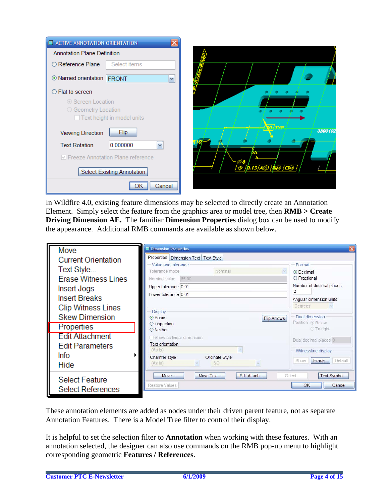| <b>E</b> ACTIVE ANNOTATION ORIENTATION   |                                     |         |
|------------------------------------------|-------------------------------------|---------|
| <b>Annotation Plane Definition</b>       |                                     |         |
| ○ Reference Plane                        | Select items                        |         |
| <b>Mamed orientation FRONT</b>           | Y                                   |         |
| $\bigcirc$ Flat to screen                |                                     |         |
| ◯ Screen Location<br>○ Geometry Location | Text height in model units          |         |
| <b>Viewing Direction</b>                 | <b>Flip</b>                         | 3390102 |
| <b>Text Rotation</b>                     | 0.000000<br>v                       |         |
|                                          | ○ Freeze Annotation Plane reference |         |
|                                          | <b>Select Existing Annotation</b>   |         |
|                                          | Cancel                              |         |

In Wildfire 4.0, existing feature dimensions may be selected to directly create an Annotation Element. Simply select the feature from the graphics area or model tree, then **RMB > Create Driving Dimension AE.** The familiar **Dimension Properties** dialog box can be used to modify the appearance. Additional RMB commands are available as shown below.

| Move                       | <b>Dimension Properties</b>                            |                                  |
|----------------------------|--------------------------------------------------------|----------------------------------|
| <b>Current Orientation</b> | Properties   Dimension Text   Text Style               |                                  |
| Text Style                 | Value and tolerance                                    | Format                           |
|                            | Nominal<br>Tolerance mode                              | <b>O</b> Decimal<br>O Fractional |
| <b>Erase Witness Lines</b> | 65.00<br>Nominal value                                 | Number of decimal places         |
| Insert Jogs                | Upper tolerance 0.01                                   | $\overline{2}$                   |
| <b>Insert Breaks</b>       | Lower tolerance 0.01                                   | Angular dimension units          |
| <b>Clip Witness Lines</b>  |                                                        | Degrees                          |
| <b>Skew Dimension</b>      | <b>Display</b><br><b>O</b> Basic<br><b>Flip Arrows</b> | Dual dimension                   |
|                            | O Inspection                                           | Position · Below                 |
| Properties                 | O Neither                                              | ○ To right                       |
| <b>Edit Attachment</b>     | Show as linear dimension                               | Dual decimal places 0            |
| <b>Edit Parameters</b>     | <b>Text orientation</b><br>(As  s)                     |                                  |
| <b>Info</b>                | Chamfer style<br>Ordinate Style                        | Witnessline display              |
| Hide                       | (As  s)<br><b>ISO</b>                                  | Erase<br>Default<br>Show         |
|                            |                                                        |                                  |
| <b>Select Feature</b>      |                                                        |                                  |
|                            | Restore Values                                         | Cancel<br>OK                     |
| <b>Select References</b>   | Edit Attach<br>Move<br>Move Text                       | Text Symbol<br>Orient            |

These annotation elements are added as nodes under their driven parent feature, not as separate Annotation Features. There is a Model Tree filter to control their display.

It is helpful to set the selection filter to **Annotation** when working with these features. With an annotation selected, the designer can also use commands on the RMB pop-up menu to highlight corresponding geometric **Features / References**.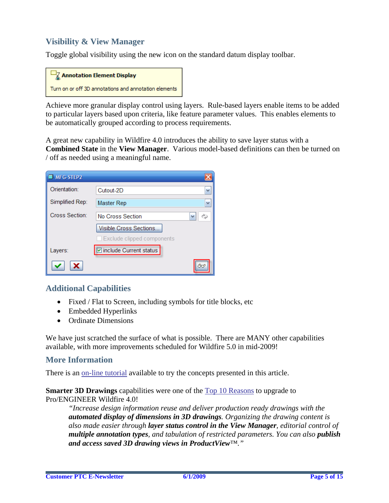# **Visibility & View Manager**

Toggle global visibility using the new icon on the standard datum display toolbar.

| $\Box$ Z Annotation Element Display                   |
|-------------------------------------------------------|
| Turn on or off 3D annotations and annotation elements |

Achieve more granular display control using layers. Rule-based layers enable items to be added to particular layers based upon criteria, like feature parameter values. This enables elements to be automatically grouped according to process requirements.

A great new capability in Wildfire 4.0 introduces the ability to save layer status with a **Combined State** in the **View Manager**. Various model-based definitions can then be turned on / off as needed using a meaningful name.

| MFG-STEP2       |                               |    |
|-----------------|-------------------------------|----|
| Orientation:    | Cutout-2D                     |    |
| Simplified Rep: | Master Rep                    | v  |
| Cross Section:  | No Cross Section              |    |
|                 | <b>Visible Cross Sections</b> |    |
|                 | Exclude clipped components    |    |
| Layers:         | ☑ include Current status      |    |
|                 |                               | ßκ |

### **Additional Capabilities**

- Fixed / Flat to Screen, including symbols for title blocks, etc
- Embedded Hyperlinks
- Ordinate Dimensions

We have just scratched the surface of what is possible. There are MANY other capabilities available, with more improvements scheduled for Wildfire 5.0 in mid-2009!

#### **More Information**

There is an [on-line tutorial](http://download.ptc.com/tutorials/wf4/whats-new/tutorial_3246/index.htm) available to try the concepts presented in this article.

**Smarter 3D Drawings** capabilities were one of the [Top 10 Reasons](http://www.ptc.com/WCMS/files/63323/en/3134_Top10_Prod_TS2.pdf) to upgrade to Pro/ENGINEER Wildfire 4.0!

*"Increase design information reuse and deliver production ready drawings with the automated display of dimensions in 3D drawings. Organizing the drawing content is also made easier through layer status control in the View Manager, editorial control of multiple annotation types, and tabulation of restricted parameters. You can also publish and access saved 3D drawing views in ProductView™."*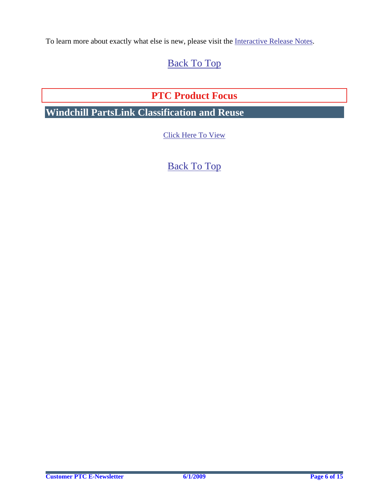<span id="page-5-0"></span>To learn more about exactly what else is new, please visit the [Interactive Release Notes](http://www.ptc.com/appserver/wcms/relnotes/category.jsp?version=4075&type=5554).

# [Back To Top](#page-0-0)

# **PTC Product Focus**

**Windchill PartsLink Classification and Reuse** 

[Click Here To View](http://members.shaw.ca/jpeng/newsletter/PTC_Technical_Specialists_E-Newsletter_2009_06_enterprise.pdf)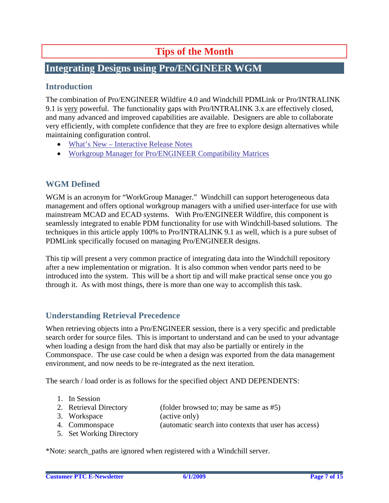# **Tips of the Month**

# <span id="page-6-0"></span>**Integrating Designs using Pro/ENGINEER WGM**

## **Introduction**

The combination of Pro/ENGINEER Wildfire 4.0 and Windchill PDMLink or Pro/INTRALINK 9.1 is very powerful. The functionality gaps with Pro/INTRALINK 3.x are effectively closed, and many advanced and improved capabilities are available. Designers are able to collaborate very efficiently, with complete confidence that they are free to explore design alternatives while maintaining configuration control.

- [What's New Interactive Release Notes](http://www.ptc.com/appserver/wcms/relnotes/category.jsp?version=2020&type=463)
- [Workgroup Manager for Pro/ENGINEER Compatibility Matrices](http://www.ptc.com/view?im_dbkey=58030)

## **WGM Defined**

WGM is an acronym for "WorkGroup Manager." Windchill can support heterogeneous data management and offers optional workgroup managers with a unified user-interface for use with mainstream MCAD and ECAD systems. With Pro/ENGINEER Wildfire, this component is seamlessly integrated to enable PDM functionality for use with Windchill-based solutions. The techniques in this article apply 100% to Pro/INTRALINK 9.1 as well, which is a pure subset of PDMLink specifically focused on managing Pro/ENGINEER designs.

This tip will present a very common practice of integrating data into the Windchill repository after a new implementation or migration. It is also common when vendor parts need to be introduced into the system. This will be a short tip and will make practical sense once you go through it. As with most things, there is more than one way to accomplish this task.

# **Understanding Retrieval Precedence**

When retrieving objects into a Pro/ENGINEER session, there is a very specific and predictable search order for source files. This is important to understand and can be used to your advantage when loading a design from the hard disk that may also be partially or entirely in the Commonspace. The use case could be when a design was exported from the data management environment, and now needs to be re-integrated as the next iteration.

The search / load order is as follows for the specified object AND DEPENDENTS:

- 1. In Session
- 2. Retrieval Directory (folder browsed to; may be same as #5)
- 3. Workspace (active only)
- 4. Commonspace (automatic search into contexts that user has access)
- 5. Set Working Directory

\*Note: search\_paths are ignored when registered with a Windchill server.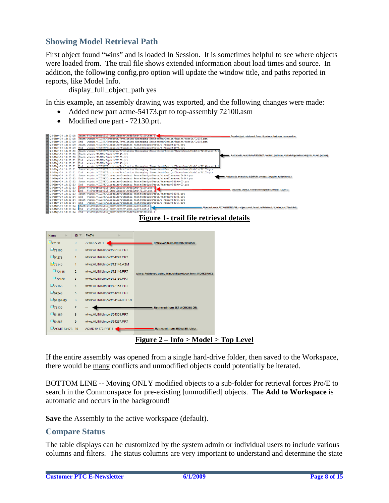## **Showing Model Retrieval Path**

First object found "wins" and is loaded In Session. It is sometimes helpful to see where objects were loaded from. The trail file shows extended information about load times and source. In addition, the following config.pro option will update the window title, and paths reported in reports, like Model Info.

display\_full\_object\_path yes

In this example, an assembly drawing was exported, and the following changes were made:

- Added new part acme-54173.prt to top-assembly 72100.asm
- Modified one part 72130.prt.



### **Figure 1- trail file retrieval details**

| <b>Name</b><br>[[fe        | $ID \equiv$    | <b>PATH</b><br>[[fe              |                                                            |
|----------------------------|----------------|----------------------------------|------------------------------------------------------------|
| <b>L</b> 72100             | $\mathbf{0}$   | 72100.ASM.1                      | <b>Retrieved from BROWSED folder</b>                       |
| $\square$ 72105            | $\mathbf{0}$   | wtws://ILINK/Import/72105.PRT    |                                                            |
| $\square$ 54273            | $\blacksquare$ | wtws://ILINK/Import/54273.PRT    |                                                            |
| 972140                     | 1              | wtws://ILINK/Import/72140.ASM    |                                                            |
| $\square$ 72145            | $\overline{2}$ | wtws://ILINK/Import/72145.PRT    | wtws: Retrieved using Windchill protocol from WORKSPACE    |
| $\square$ 72150            | 3              | wtws://ILINK/Import/72150.PRT    |                                                            |
| $\square$ 72155            | 4              | wtws://ILINK/Import/72155.PRT    |                                                            |
| $\square$ 54243            | 5              | wtws://ILINK/Import/54243.PRT    |                                                            |
| $\square$ 54194-00         | 6              | wtws://ILINK/Import/54194-00.PRT |                                                            |
| $\square$ 72130            | $\overline{7}$ |                                  | <b>Retrieved from SET WORKING DIR</b>                      |
| $\square$ 54359            | 8              | wtws://ILINK/Import/54359.PRT    |                                                            |
| $\square$ <sub>54267</sub> | 9              | wtws://ILINK/Import/54267.PRT    |                                                            |
| ACME-54173 10              |                | ACME-54173.PRT.1                 | <b>Retrieved from BROWSED folder</b>                       |
|                            |                |                                  | $\mathbf{E}$ : $\mathbf{L}$<br>$L.f. \sim M. J. J \sim T.$ |

**Figure 2 – Info > Model > Top Level**

If the entire assembly was opened from a single hard-drive folder, then saved to the Workspace, there would be many conflicts and unmodified objects could potentially be iterated.

BOTTOM LINE -- Moving ONLY modified objects to a sub-folder for retrieval forces Pro/E to search in the Commonspace for pre-existing [unmodified] objects. The **Add to Workspace** is automatic and occurs in the background!

**Save** the Assembly to the active workspace (default).

#### **Compare Status**

The table displays can be customized by the system admin or individual users to include various columns and filters. The status columns are very important to understand and determine the state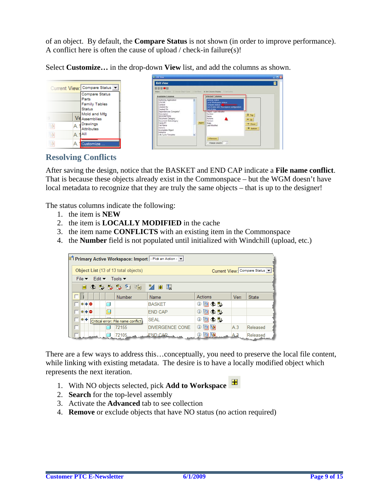of an object. By default, the **Compare Status** is not shown (in order to improve performance). A conflict here is often the cause of upload / check-in failure(s)!

Select **Customize…** in the drop-down **View** list, and add the columns as shown.

|  | Current View: Compare Status                                            |
|--|-------------------------------------------------------------------------|
|  | <b>Compare Status</b><br>Parts<br><b>Family Tables</b><br><b>Status</b> |
|  | Mold and Mfg<br><b>Assemblies</b>                                       |
|  | Drawings<br><b>Attributes</b>                                           |
|  | AΠ                                                                      |
|  | tustomize                                                               |

| <b>BOOMS</b><br>Blegar - 1 Set lates - 2 Orman Discott Sens - 3 Set Conce - 4: Set Column Display - 1: Set Senty                                                                                                                                                                                       |       |                                                                                                                                                                                                                                                         |                                                              |
|--------------------------------------------------------------------------------------------------------------------------------------------------------------------------------------------------------------------------------------------------------------------------------------------------------|-------|---------------------------------------------------------------------------------------------------------------------------------------------------------------------------------------------------------------------------------------------------------|--------------------------------------------------------------|
| <b>Available Columns</b>                                                                                                                                                                                                                                                                               |       | <b>Selected Columns</b>                                                                                                                                                                                                                                 |                                                              |
| Authoring Application<br>٠<br><b>COLOR</b><br>Context<br>Created By<br>Created On<br>Dependencies Complete?<br>Description<br>DESCRIPTION:<br>Document Category<br>Document Subcategory<br><b>FACEITY</b><br>----<br>File Name<br>Generic<br>Incomplete Object<br>Instance<br>W<br>Life Cycle Template | Add > | General status<br><b>Local Workspace status</b><br>Compare status<br>Out of date with Workspace configuration<br>Out of data<br>Object type indicator<br>Number<br>Name<br>Actions<br>Version<br>State:<br>Last Modified<br>4 Remove<br>F Freeze column | $\Xi$ Top<br>$\triangle$ Up<br><b>W</b> Down<br>$\Xi$ Bottom |

### **Resolving Conflicts**

After saving the design, notice that the BASKET and END CAP indicate a **File name conflict**. That is because these objects already exist in the Commonspace – but the WGM doesn't have local metadata to recognize that they are truly the same objects – that is up to the designer!

The status columns indicate the following:

- 1. the item is **NEW**
- 2. the item is **LOCALLY MODIFIED** in the cache
- 3. the item name **CONFLICTS** with an existing item in the Commonspace
- 4. the **Number** field is not populated until initialized with Windchill (upload, etc.)

|   |               |                                                                                |                                      | 日 Primary Active Workspace: Import   - Pick an Action - ▼ |                                                                          |      |                              |
|---|---------------|--------------------------------------------------------------------------------|--------------------------------------|-----------------------------------------------------------|--------------------------------------------------------------------------|------|------------------------------|
|   |               |                                                                                | Object List (13 of 13 total objects) |                                                           |                                                                          |      | Current View: Compare Status |
|   |               | File $\blacktriangledown$ Edit $\blacktriangledown$ Tools $\blacktriangledown$ |                                      |                                                           |                                                                          |      |                              |
|   |               |                                                                                | 日 ◆ 抄 抄 し 名 啮 【 为 田 取                |                                                           |                                                                          |      |                              |
|   |               |                                                                                | Number                               | Name                                                      | Actions                                                                  | Vers | <b>State</b>                 |
|   | $* + \bullet$ |                                                                                |                                      | <b>BASKET</b>                                             | ◑▣◆≞                                                                     |      |                              |
|   | *+●           |                                                                                |                                      | <b>END CAP</b>                                            | ◑▣◆≞                                                                     |      |                              |
| п | *+            |                                                                                | Critical error: File name conflict   | <b>SEAL</b>                                               | ◑▣◆₩                                                                     |      |                              |
| г |               |                                                                                | 72155                                | <b>DIVERGENCE CONE</b>                                    | ① ② ⑤                                                                    | A.3  | Released                     |
|   |               |                                                                                |                                      | 72105 FND CAR (                                           | $\mathbb{Q}$ $\boxed{\boxtimes}$ $\boxed{\boxtimes}$ $\boxed{\text{A3}}$ |      | Released                     |

There are a few ways to address this…conceptually, you need to preserve the local file content, while linking with existing metadata. The desire is to have a locally modified object which represents the next iteration.

- 1. With NO objects selected, pick **Add to Workspace**
- 2. **Search** for the top-level assembly
- 3. Activate the **Advanced** tab to see collection
- 4. **Remove** or exclude objects that have NO status (no action required)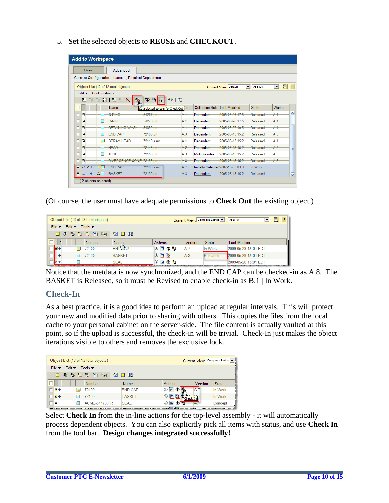5. **Set** the selected objects to **REUSE** and **CHECKOUT**.

|                                       | <b>Basic</b> |                 | <b>Advanced</b>                                           |                                        |                |                        |                                             |                                  |                |
|---------------------------------------|--------------|-----------------|-----------------------------------------------------------|----------------------------------------|----------------|------------------------|---------------------------------------------|----------------------------------|----------------|
|                                       |              |                 | <b>Current Configuration: Latest, Required Dependents</b> |                                        |                |                        |                                             |                                  |                |
|                                       |              |                 | Object List (12 of 12 total objects)                      |                                        |                |                        | Current View: Default                       | $\vert \cdot \vert$<br>As a List | ■<br>▾         |
| Edit $\blacktriangledown$             |              | Configuration v |                                                           |                                        |                |                        |                                             |                                  |                |
| 陶                                     |              |                 | ■ Ⅰ<br>बा<br>Ħ.<br>N                                      | $H_1$<br>Î<br>lħ                       | ⊙Ⅰ團            |                        |                                             |                                  |                |
| г                                     |              |                 | <b>Name</b>                                               | Set selected objects for Check Out ers |                | <b>Collection Rule</b> | Last Modified                               | <b>State</b>                     | Worksp         |
| a                                     |              |                 | $O-RING$                                                  | 54267.prt                              | A-1            | <del>Dependent</del>   | 2005-05-26 17:5                             | Released                         | A-1            |
| ÷.                                    |              |                 | O-RING                                                    | 54273.prt                              | $A +$          | <del>Dependent</del>   | 2005-05-26 17:5                             | Released                         | $A +$          |
| F.                                    |              |                 | <b>RETAINING WASH</b>                                     | 54359.prt                              | $A +$          | <b>Dependent</b>       | 2005-05-27 10:5                             | Released                         | $A +$          |
| ÷.                                    |              |                 | <b>END CAP</b>                                            | 72105.prt                              | A.3            | <b>Dependent</b>       | 2005-06-13 15:2                             | Released                         | A.3            |
| ÷.                                    |              | ◫               | <b>SPRAY HEAD</b>                                         | 72140 asm                              | A.1            | <b>Dependent</b>       | 2005-06-13 15:2                             | Released                         | $A +$          |
| Ŀ.                                    |              |                 | <b>HEAD</b>                                               | 72145.prt                              | A <sub>2</sub> | <b>Dependent</b>       | 2005-06-13 15:2                             | Released                         | A <sub>2</sub> |
| ÷.                                    |              |                 | <b>TUBE</b>                                               | 72150.prt                              | A.3            | Multiple rules-        | 2005-06-13 15:2 Released                    |                                  | $A - 3$        |
| РŁ                                    |              |                 | DIVERGENCE CONE 72155.prt                                 |                                        | A.3            | <b>Dependent</b>       | 2005-06-13 15:2 Released                    |                                  | A.3            |
| $\overline{\mathbf{v}}$<br>$2 \vee 4$ |              | ΔŒ              | <b>END CAP</b>                                            | 72100.asm                              | A.7            |                        | Initially Selected 2007-10-03 03:3  In Work |                                  |                |
| ⊽<br>$\hat{\boldsymbol{\omega}}$      |              | $\Delta \Box$   | <b>BASKET</b>                                             | 72130.prt                              | A.3            | Dependent              | 2005-06-13 15:2  Released                   |                                  |                |

(Of course, the user must have adequate permissions to **Check Out** the existing object.)

| Object List (13 of 13 total objects) |                           |                            |                             |                              |                | Current View: Compare Status | As a list    | 瞿.<br>$\blacktriangledown$                                                                                                                                  | $\overline{2}$ |  |
|--------------------------------------|---------------------------|----------------------------|-----------------------------|------------------------------|----------------|------------------------------|--------------|-------------------------------------------------------------------------------------------------------------------------------------------------------------|----------------|--|
|                                      | File $\blacktriangledown$ | Edit $\blacktriangleright$ | Tools $\blacktriangleright$ |                              |                |                              |              |                                                                                                                                                             |                |  |
|                                      |                           |                            | 日 ① 书 书 引 引 唱               | $^*$ $\blacksquare$<br>- 田 服 |                |                              |              |                                                                                                                                                             |                |  |
|                                      |                           |                            | <b>Number</b>               | Name                         | Actions        | <b>Version</b>               | <b>State</b> | Last Modified                                                                                                                                               |                |  |
|                                      |                           |                            | 72100                       | <b>END AP</b>                | ①回①判           | A.7                          | In Work      | 2009-05-28 15:01 EDT                                                                                                                                        |                |  |
|                                      |                           |                            | 72130                       | <b>BASKET</b>                | $0 \mathbf{E}$ | A.3                          | Released     | 2009-05-28 15:01 EDT                                                                                                                                        |                |  |
|                                      |                           |                            |                             | <b>SEAL</b>                  | ⊙ 回◆ L         |                              |              | 2009-05-28 15:01 EDT<br>الانتساب ويقعدك فسيحفظ بالربالة بالمتحلة المتحاليقان والمقارنة والمتقارب والقرائية والمتحل والمنقيل والمقارنة والمتناوبة والمتحاربة |                |  |

Notice that the metdata is now synchronized, and the END CAP can be checked-in as A.8. The BASKET is Released, so it must be Revised to enable check-in as B.1 | In Work.

# **Check-In**

As a best practice, it is a good idea to perform an upload at regular intervals. This will protect your new and modified data prior to sharing with others. This copies the files from the local cache to your personal cabinet on the server-side. The file content is actually vaulted at this point, so if the upload is successful, the check-in will be trivial. Check-In just makes the object iterations visible to others and removes the exclusive lock.

| Object List (13 of 13 total objects)<br>Current View: Compare Status v                |                       |                |                |         |              |  |
|---------------------------------------------------------------------------------------|-----------------------|----------------|----------------|---------|--------------|--|
| Edit $\blacktriangleright$<br>Tools $\blacktriangledown$<br>File $\blacktriangledown$ |                       |                |                |         |              |  |
| ▓₫<br>日 ① 抄 抄 ツ 和 唱<br>國<br><b>H</b>                                                  |                       |                |                |         |              |  |
|                                                                                       | <b>Number</b>         | Name           | <b>Actions</b> | Version | <b>State</b> |  |
| M+                                                                                    | 72100                 | <b>END CAP</b> | ⊕<br>回         | Ά.      | In Work      |  |
| $V +$                                                                                 | 72130                 | <b>BASKET</b>  | ① ②            |         | In Work      |  |
| ₩<br>فسنعاء فاستنصبتها                                                                | <b>ACME-54173 PRT</b> | <b>SEAL</b>    | Ф<br>回         |         | Concept      |  |

Select **Check In** from the in-line actions for the top-level assembly - it will automatically process dependent objects. You can also explicitly pick all items with status, and use **Check In** from the tool bar. **Design changes integrated successfully!**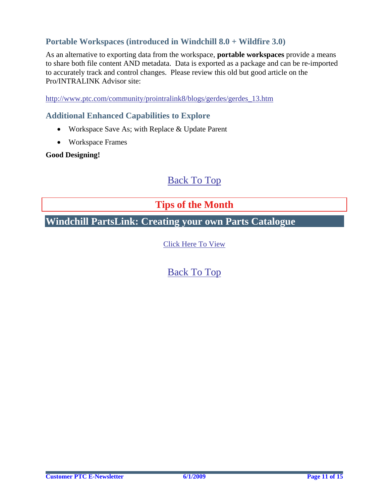# <span id="page-10-0"></span>**Portable Workspaces (introduced in Windchill 8.0 + Wildfire 3.0)**

As an alternative to exporting data from the workspace, **portable workspaces** provide a means to share both file content AND metadata. Data is exported as a package and can be re-imported to accurately track and control changes. Please review this old but good article on the Pro/INTRALINK Advisor site:

[http://www.ptc.com/community/prointralink8/blogs/gerdes/gerdes\\_13.htm](http://www.ptc.com/community/prointralink8/blogs/gerdes/gerdes_13.htm)

### **Additional Enhanced Capabilities to Explore**

- Workspace Save As; with Replace & Update Parent
- Workspace Frames

#### **Good Designing!**

# [Back To Top](#page-0-0)

# **Tips of the Month**

**Windchill PartsLink: Creating your own Parts Catalogue** 

[Click Here To View](http://members.shaw.ca/jpeng/newsletter/PTC_Technical_Specialists_E-Newsletter_2009_06_enterprise.pdf)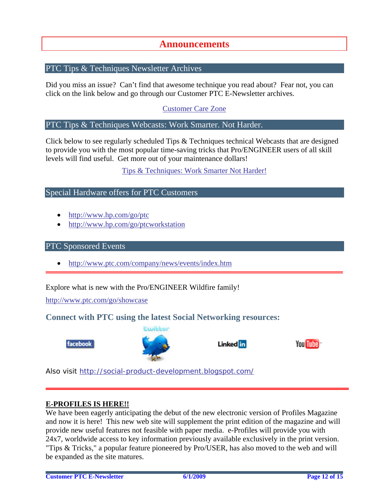# **Announcements**

#### <span id="page-11-0"></span>PTC Tips & Techniques Newsletter Archives

Did you miss an issue? Can't find that awesome technique you read about? Fear not, you can click on the link below and go through our Customer PTC E-Newsletter archives.

[Customer Care Zone](http://www.ptc.com/carezone/)

#### PTC Tips & Techniques Webcasts: Work Smarter. Not Harder.

Click below to see regularly scheduled Tips & Techniques technical Webcasts that are designed to provide you with the most popular time-saving tricks that Pro/ENGINEER users of all skill levels will find useful. Get more out of your maintenance dollars!

#### [Tips & Techniques: Work Smarter Not Harder!](http://www.ptc.com/appserver/it/icm/cda/template_lib/events/series.jsp?&im_dbkey=11442&icg_dbkey=141)

#### Special Hardware offers for PTC Customers

- <http://www.hp.com/go/ptc>
- <http://www.hp.com/go/ptcworkstation>

#### PTC Sponsored Events

• http://www.ptc.com/company/news/events/index.htm

Explore what is new with the Pro/ENGINEER Wildfire family!

<http://www.ptc.com/go/showcase>

#### **Connect with PTC using the latest Social Networking resources:**





#### Linked in



Also visit<http://social-product-development.blogspot.com/>

#### **E-PROFILES IS HERE!!**

We have been eagerly anticipating the debut of the new electronic version of Profiles Magazine and now it is here! This new web site will supplement the print edition of the magazine and will provide new useful features not feasible with paper media. e-Profiles will provide you with 24x7, worldwide access to key information previously available exclusively in the print version. "Tips & Tricks," a popular feature pioneered by Pro/USER, has also moved to the web and will be expanded as the site matures.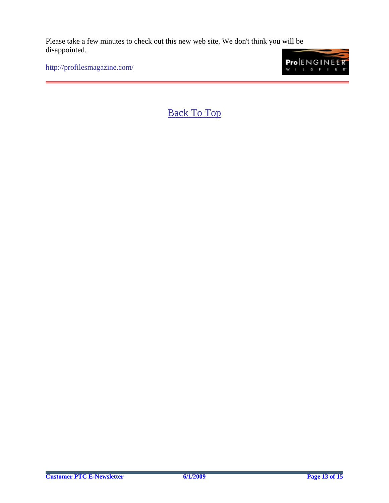Please take a few minutes to check out this new web site. We don't think you will be disappointed.

<http://profilesmagazine.com/>

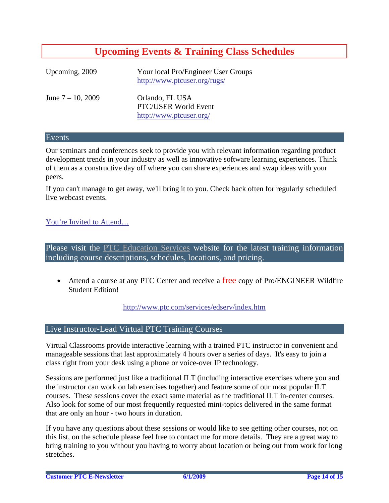# **Upcoming Events & Training Class Schedules**

<span id="page-13-0"></span>

| Upcoming, 2009       | Your local Pro/Engineer User Groups<br>http://www.ptcuser.org/rugs/ |
|----------------------|---------------------------------------------------------------------|
| June $7 - 10$ , 2009 | Orlando, FL USA<br>PTC/USER World Event<br>http://www.ptcuser.org/  |

#### Events

Our seminars and conferences seek to provide you with relevant information regarding product development trends in your industry as well as innovative software learning experiences. Think of them as a constructive day off where you can share experiences and swap ideas with your peers.

If you can't manage to get away, we'll bring it to you. Check back often for regularly scheduled live webcast events.

#### [You're Invited to Attend…](http://www.ptc.com/company/news/events/index.htm)

Please visit the [PTC Education Services](http://www.ptc.com/services/edserv/) website for the latest training information including course descriptions, schedules, locations, and pricing.

• Attend a course at any PTC Center and receive a free copy of Pro/ENGINEER Wildfire Student Edition!

<http://www.ptc.com/services/edserv/index.htm>

#### Live Instructor-Lead Virtual PTC Training Courses

Virtual Classrooms provide interactive learning with a trained PTC instructor in convenient and manageable sessions that last approximately 4 hours over a series of days. It's easy to join a class right from your desk using a phone or voice-over IP technology.

Sessions are performed just like a traditional ILT (including interactive exercises where you and the instructor can work on lab exercises together) and feature some of our most popular ILT courses. These sessions cover the exact same material as the traditional ILT in-center courses. Also look for some of our most frequently requested mini-topics delivered in the same format that are only an hour - two hours in duration.

If you have any questions about these sessions or would like to see getting other courses, not on this list, on the schedule please feel free to contact me for more details. They are a great way to bring training to you without you having to worry about location or being out from work for long stretches.